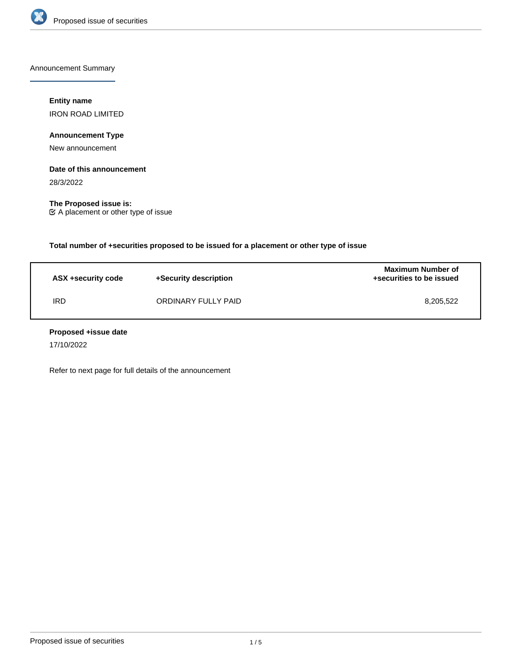

Announcement Summary

## **Entity name**

IRON ROAD LIMITED

## **Announcement Type**

New announcement

### **Date of this announcement**

28/3/2022

**The Proposed issue is:** A placement or other type of issue

**Total number of +securities proposed to be issued for a placement or other type of issue**

| ASX +security code | +Security description | <b>Maximum Number of</b><br>+securities to be issued |
|--------------------|-----------------------|------------------------------------------------------|
| IRD                | ORDINARY FULLY PAID   | 8,205,522                                            |

### **Proposed +issue date**

17/10/2022

Refer to next page for full details of the announcement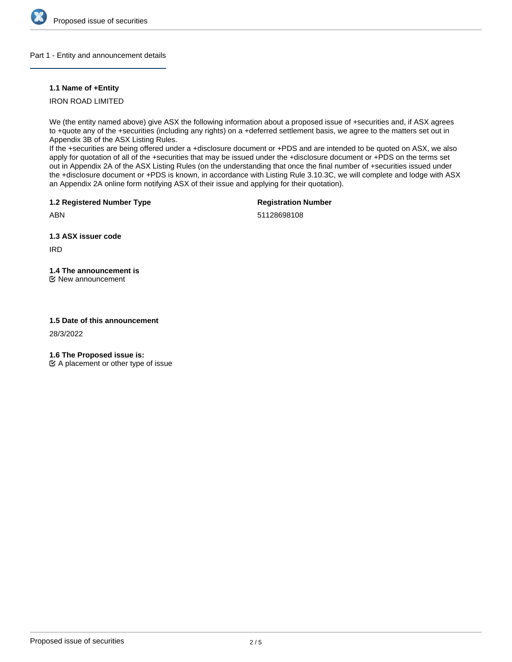

### Part 1 - Entity and announcement details

### **1.1 Name of +Entity**

## IRON ROAD LIMITED

We (the entity named above) give ASX the following information about a proposed issue of +securities and, if ASX agrees to +quote any of the +securities (including any rights) on a +deferred settlement basis, we agree to the matters set out in Appendix 3B of the ASX Listing Rules.

If the +securities are being offered under a +disclosure document or +PDS and are intended to be quoted on ASX, we also apply for quotation of all of the +securities that may be issued under the +disclosure document or +PDS on the terms set out in Appendix 2A of the ASX Listing Rules (on the understanding that once the final number of +securities issued under the +disclosure document or +PDS is known, in accordance with Listing Rule 3.10.3C, we will complete and lodge with ASX an Appendix 2A online form notifying ASX of their issue and applying for their quotation).

**1.2 Registered Number Type**

**Registration Number**

ABN

51128698108

**1.3 ASX issuer code**

IRD

# **1.4 The announcement is**

New announcement

## **1.5 Date of this announcement**

28/3/2022

**1.6 The Proposed issue is:**

 $\mathfrak{C}$  A placement or other type of issue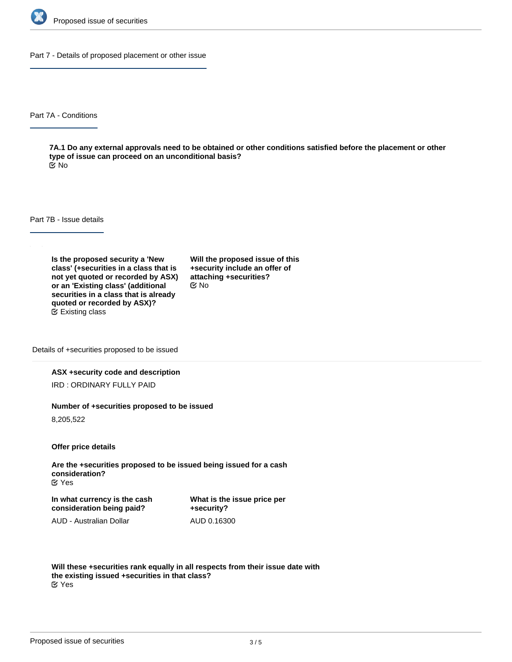

Part 7 - Details of proposed placement or other issue

Part 7A - Conditions

**7A.1 Do any external approvals need to be obtained or other conditions satisfied before the placement or other type of issue can proceed on an unconditional basis?** No

Part 7B - Issue details

**Is the proposed security a 'New class' (+securities in a class that is not yet quoted or recorded by ASX) or an 'Existing class' (additional securities in a class that is already quoted or recorded by ASX)?** Existing class

**Will the proposed issue of this +security include an offer of attaching +securities?** No

Details of +securities proposed to be issued

### **ASX +security code and description**

IRD : ORDINARY FULLY PAID

#### **Number of +securities proposed to be issued**

8,205,522

**Offer price details**

**Are the +securities proposed to be issued being issued for a cash consideration?** Yes

**In what currency is the cash consideration being paid?**

**What is the issue price per +security?** AUD 0.16300

AUD - Australian Dollar

**Will these +securities rank equally in all respects from their issue date with the existing issued +securities in that class?** Yes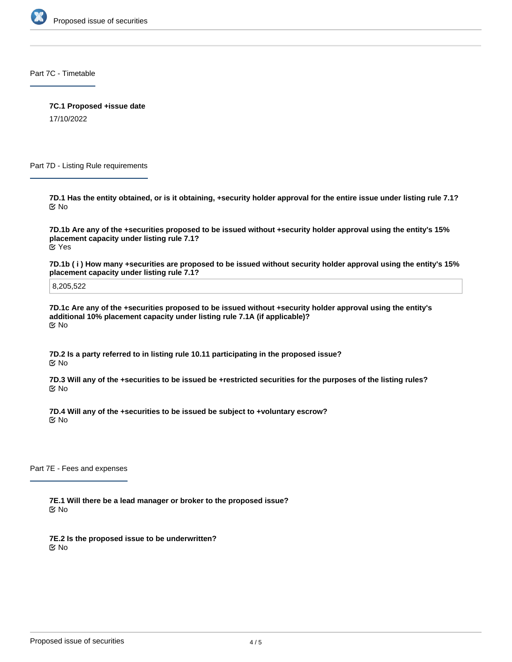

Part 7C - Timetable

**7C.1 Proposed +issue date**

17/10/2022

Part 7D - Listing Rule requirements

**7D.1 Has the entity obtained, or is it obtaining, +security holder approval for the entire issue under listing rule 7.1?** No

**7D.1b Are any of the +securities proposed to be issued without +security holder approval using the entity's 15% placement capacity under listing rule 7.1?** Yes

**7D.1b ( i ) How many +securities are proposed to be issued without security holder approval using the entity's 15% placement capacity under listing rule 7.1?**

8,205,522

**7D.1c Are any of the +securities proposed to be issued without +security holder approval using the entity's additional 10% placement capacity under listing rule 7.1A (if applicable)?** No

**7D.2 Is a party referred to in listing rule 10.11 participating in the proposed issue?** No

**7D.3 Will any of the +securities to be issued be +restricted securities for the purposes of the listing rules?** No

**7D.4 Will any of the +securities to be issued be subject to +voluntary escrow?** No

Part 7E - Fees and expenses

**7E.1 Will there be a lead manager or broker to the proposed issue?** No

**7E.2 Is the proposed issue to be underwritten?** No